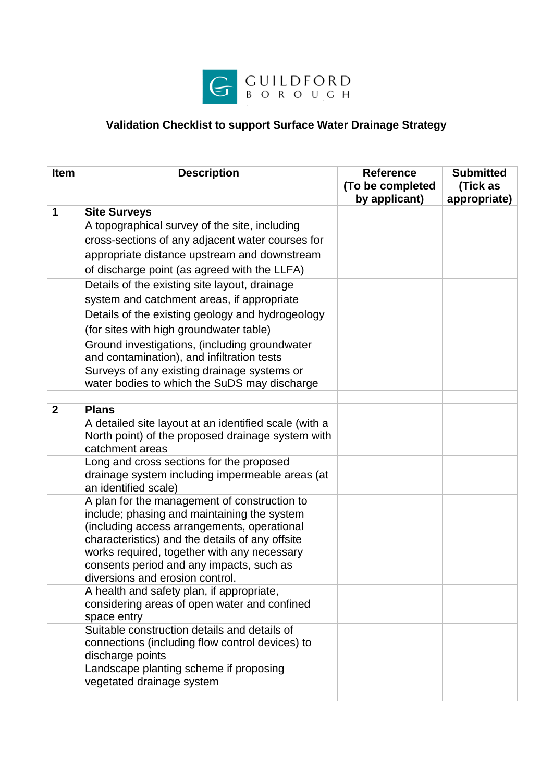

## **Validation Checklist to support Surface Water Drainage Strategy**

| Item           | <b>Description</b>                                                                                                                                                                                                                                                                                                          | <b>Reference</b><br>(To be completed<br>by applicant) | <b>Submitted</b><br>(Tick as<br>appropriate) |
|----------------|-----------------------------------------------------------------------------------------------------------------------------------------------------------------------------------------------------------------------------------------------------------------------------------------------------------------------------|-------------------------------------------------------|----------------------------------------------|
| 1              | <b>Site Surveys</b>                                                                                                                                                                                                                                                                                                         |                                                       |                                              |
|                | A topographical survey of the site, including                                                                                                                                                                                                                                                                               |                                                       |                                              |
|                | cross-sections of any adjacent water courses for                                                                                                                                                                                                                                                                            |                                                       |                                              |
|                | appropriate distance upstream and downstream                                                                                                                                                                                                                                                                                |                                                       |                                              |
|                | of discharge point (as agreed with the LLFA)                                                                                                                                                                                                                                                                                |                                                       |                                              |
|                | Details of the existing site layout, drainage                                                                                                                                                                                                                                                                               |                                                       |                                              |
|                | system and catchment areas, if appropriate                                                                                                                                                                                                                                                                                  |                                                       |                                              |
|                | Details of the existing geology and hydrogeology                                                                                                                                                                                                                                                                            |                                                       |                                              |
|                | (for sites with high groundwater table)                                                                                                                                                                                                                                                                                     |                                                       |                                              |
|                | Ground investigations, (including groundwater                                                                                                                                                                                                                                                                               |                                                       |                                              |
|                | and contamination), and infiltration tests                                                                                                                                                                                                                                                                                  |                                                       |                                              |
|                | Surveys of any existing drainage systems or<br>water bodies to which the SuDS may discharge                                                                                                                                                                                                                                 |                                                       |                                              |
|                |                                                                                                                                                                                                                                                                                                                             |                                                       |                                              |
| $\overline{2}$ | <b>Plans</b>                                                                                                                                                                                                                                                                                                                |                                                       |                                              |
|                | A detailed site layout at an identified scale (with a<br>North point) of the proposed drainage system with<br>catchment areas                                                                                                                                                                                               |                                                       |                                              |
|                | Long and cross sections for the proposed<br>drainage system including impermeable areas (at<br>an identified scale)                                                                                                                                                                                                         |                                                       |                                              |
|                | A plan for the management of construction to<br>include; phasing and maintaining the system<br>(including access arrangements, operational<br>characteristics) and the details of any offsite<br>works required, together with any necessary<br>consents period and any impacts, such as<br>diversions and erosion control. |                                                       |                                              |
|                | A health and safety plan, if appropriate,<br>considering areas of open water and confined<br>space entry                                                                                                                                                                                                                    |                                                       |                                              |
|                | Suitable construction details and details of<br>connections (including flow control devices) to<br>discharge points                                                                                                                                                                                                         |                                                       |                                              |
|                | Landscape planting scheme if proposing<br>vegetated drainage system                                                                                                                                                                                                                                                         |                                                       |                                              |